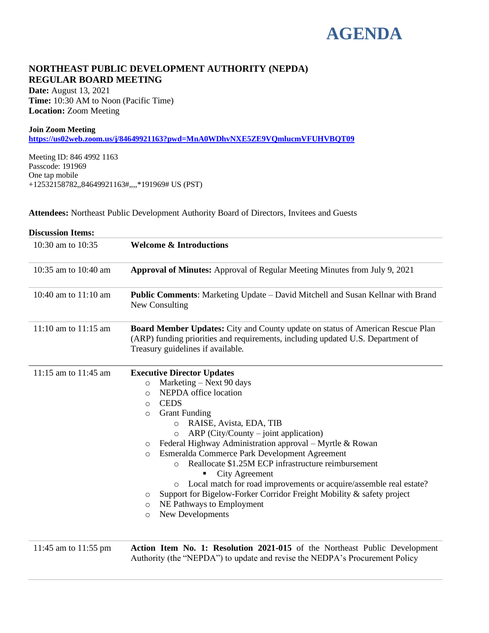# **AGENDA**

# **NORTHEAST PUBLIC DEVELOPMENT AUTHORITY (NEPDA) REGULAR BOARD MEETING**

**Date:** August 13, 2021 **Time:** 10:30 AM to Noon (Pacific Time) **Location:** Zoom Meeting

#### **Join Zoom Meeting**

**<https://us02web.zoom.us/j/84649921163?pwd=MnA0WDhvNXE5ZE9VQmlucmVFUHVBQT09>**

Meeting ID: 846 4992 1163 Passcode: 191969 One tap mobile +12532158782,,84649921163#,,,,\*191969# US (PST)

**Attendees:** Northeast Public Development Authority Board of Directors, Invitees and Guests

| <b>Discussion Items:</b> |                                                                                                                                                                                                                                                                                                                                                                                                                                                                                                                                                                                                                                                                                                           |
|--------------------------|-----------------------------------------------------------------------------------------------------------------------------------------------------------------------------------------------------------------------------------------------------------------------------------------------------------------------------------------------------------------------------------------------------------------------------------------------------------------------------------------------------------------------------------------------------------------------------------------------------------------------------------------------------------------------------------------------------------|
| 10:30 am to 10:35        | <b>Welcome &amp; Introductions</b>                                                                                                                                                                                                                                                                                                                                                                                                                                                                                                                                                                                                                                                                        |
| 10:35 am to 10:40 am     | <b>Approval of Minutes:</b> Approval of Regular Meeting Minutes from July 9, 2021                                                                                                                                                                                                                                                                                                                                                                                                                                                                                                                                                                                                                         |
| 10:40 am to 11:10 am     | <b>Public Comments:</b> Marketing Update – David Mitchell and Susan Kellnar with Brand<br>New Consulting                                                                                                                                                                                                                                                                                                                                                                                                                                                                                                                                                                                                  |
| $11:10$ am to $11:15$ am | <b>Board Member Updates:</b> City and County update on status of American Rescue Plan<br>(ARP) funding priorities and requirements, including updated U.S. Department of<br>Treasury guidelines if available.                                                                                                                                                                                                                                                                                                                                                                                                                                                                                             |
| 11:15 am to 11:45 am     | <b>Executive Director Updates</b><br>Marketing – Next 90 days<br>$\circ$<br>NEPDA office location<br>$\circ$<br><b>CEDS</b><br>O<br><b>Grant Funding</b><br>$\circ$<br>RAISE, Avista, EDA, TIB<br>$\circ$<br>$ARP (City/Country - joint application)$<br>$\circ$<br>Federal Highway Administration approval – Myrtle & Rowan<br>O<br>Esmeralda Commerce Park Development Agreement<br>$\circ$<br>Reallocate \$1.25M ECP infrastructure reimbursement<br>$\bigcirc$<br>City Agreement<br>Local match for road improvements or acquire/assemble real estate?<br>Support for Bigelow-Forker Corridor Freight Mobility & safety project<br>O<br>NE Pathways to Employment<br>O<br>New Developments<br>$\circ$ |
| 11:45 am to 11:55 pm     | Action Item No. 1: Resolution 2021-015 of the Northeast Public Development<br>Authority (the "NEPDA") to update and revise the NEDPA's Procurement Policy                                                                                                                                                                                                                                                                                                                                                                                                                                                                                                                                                 |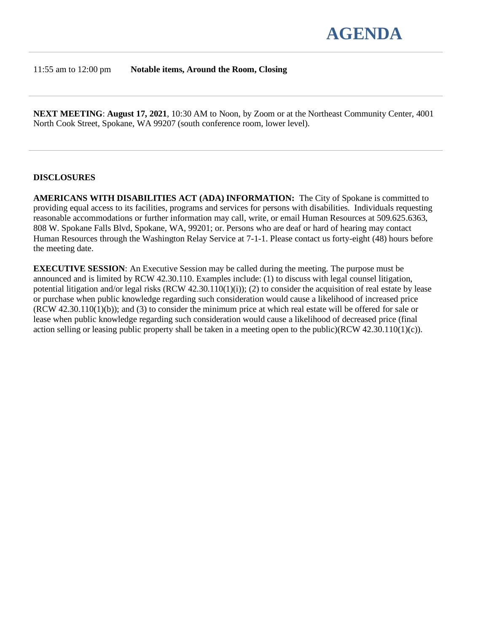

#### 11:55 am to 12:00 pm **Notable items, Around the Room, Closing**

**NEXT MEETING**: **August 17, 2021**, 10:30 AM to Noon, by Zoom or at the Northeast Community Center, 4001 North Cook Street, Spokane, WA 99207 (south conference room, lower level).

#### **DISCLOSURES**

**AMERICANS WITH DISABILITIES ACT (ADA) INFORMATION:** The City of Spokane is committed to providing equal access to its facilities, programs and services for persons with disabilities. Individuals requesting reasonable accommodations or further information may call, write, or email Human Resources at 509.625.6363, 808 W. Spokane Falls Blvd, Spokane, WA, 99201; or. Persons who are deaf or hard of hearing may contact Human Resources through the Washington Relay Service at 7-1-1. Please contact us forty-eight (48) hours before the meeting date.

**EXECUTIVE SESSION**: An Executive Session may be called during the meeting. The purpose must be announced and is limited by RCW 42.30.110. Examples include: (1) to discuss with legal counsel litigation, potential litigation and/or legal risks  $(RCW 42.30.110(1)(i))$ ; (2) to consider the acquisition of real estate by lease or purchase when public knowledge regarding such consideration would cause a likelihood of increased price (RCW 42.30.110(1)(b)); and (3) to consider the minimum price at which real estate will be offered for sale or lease when public knowledge regarding such consideration would cause a likelihood of decreased price (final action selling or leasing public property shall be taken in a meeting open to the public)(RCW 42.30.110(1)(c)).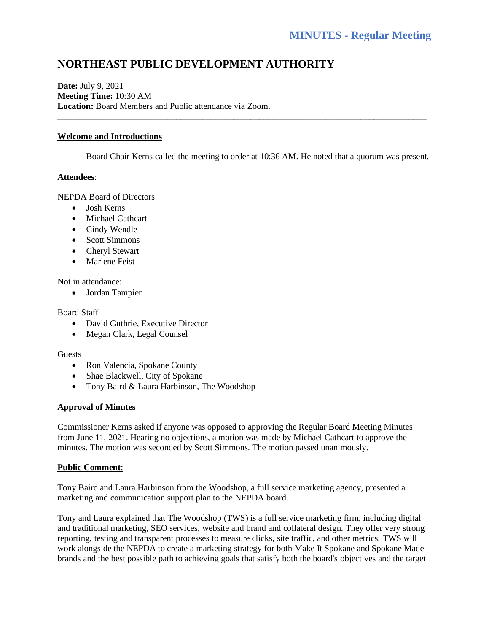# **NORTHEAST PUBLIC DEVELOPMENT AUTHORITY**

**Date:** July 9, 2021 **Meeting Time:** 10:30 AM **Location:** Board Members and Public attendance via Zoom.

# **Welcome and Introductions**

Board Chair Kerns called the meeting to order at 10:36 AM. He noted that a quorum was present.

\_\_\_\_\_\_\_\_\_\_\_\_\_\_\_\_\_\_\_\_\_\_\_\_\_\_\_\_\_\_\_\_\_\_\_\_\_\_\_\_\_\_\_\_\_\_\_\_\_\_\_\_\_\_\_\_\_\_\_\_\_\_\_\_\_\_\_\_\_\_\_\_\_\_\_\_\_\_\_\_\_\_\_\_

# **Attendees**:

NEPDA Board of Directors

- Josh Kerns
- Michael Cathcart
- Cindy Wendle
- Scott Simmons
- Cheryl Stewart
- Marlene Feist

Not in attendance:

• Jordan Tampien

#### Board Staff

- David Guthrie, Executive Director
- Megan Clark, Legal Counsel

#### Guests

- Ron Valencia, Spokane County
- Shae Blackwell, City of Spokane
- Tony Baird & Laura Harbinson, The Woodshop

# **Approval of Minutes**

Commissioner Kerns asked if anyone was opposed to approving the Regular Board Meeting Minutes from June 11, 2021. Hearing no objections, a motion was made by Michael Cathcart to approve the minutes. The motion was seconded by Scott Simmons. The motion passed unanimously.

# **Public Comment**:

Tony Baird and Laura Harbinson from the Woodshop, a full service marketing agency, presented a marketing and communication support plan to the NEPDA board.

Tony and Laura explained that The Woodshop (TWS) is a full service marketing firm, including digital and traditional marketing, SEO services, website and brand and collateral design. They offer very strong reporting, testing and transparent processes to measure clicks, site traffic, and other metrics. TWS will work alongside the NEPDA to create a marketing strategy for both Make It Spokane and Spokane Made brands and the best possible path to achieving goals that satisfy both the board's objectives and the target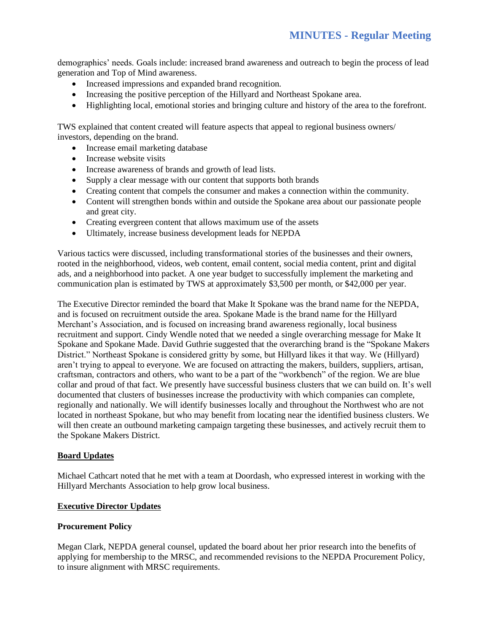demographics' needs. Goals include: increased brand awareness and outreach to begin the process of lead generation and Top of Mind awareness.

- Increased impressions and expanded brand recognition.
- Increasing the positive perception of the Hillyard and Northeast Spokane area.
- Highlighting local, emotional stories and bringing culture and history of the area to the forefront.

TWS explained that content created will feature aspects that appeal to regional business owners/ investors, depending on the brand.

- Increase email marketing database
- Increase website visits
- Increase awareness of brands and growth of lead lists.
- Supply a clear message with our content that supports both brands
- Creating content that compels the consumer and makes a connection within the community.
- Content will strengthen bonds within and outside the Spokane area about our passionate people and great city.
- Creating evergreen content that allows maximum use of the assets
- Ultimately, increase business development leads for NEPDA

Various tactics were discussed, including transformational stories of the businesses and their owners, rooted in the neighborhood, videos, web content, email content, social media content, print and digital ads, and a neighborhood into packet. A one year budget to successfully implement the marketing and communication plan is estimated by TWS at approximately \$3,500 per month, or \$42,000 per year.

The Executive Director reminded the board that Make It Spokane was the brand name for the NEPDA, and is focused on recruitment outside the area. Spokane Made is the brand name for the Hillyard Merchant's Association, and is focused on increasing brand awareness regionally, local business recruitment and support. Cindy Wendle noted that we needed a single overarching message for Make It Spokane and Spokane Made. David Guthrie suggested that the overarching brand is the "Spokane Makers District." Northeast Spokane is considered gritty by some, but Hillyard likes it that way. We (Hillyard) aren't trying to appeal to everyone. We are focused on attracting the makers, builders, suppliers, artisan, craftsman, contractors and others, who want to be a part of the "workbench" of the region. We are blue collar and proud of that fact. We presently have successful business clusters that we can build on. It's well documented that clusters of businesses increase the productivity with which companies can complete, regionally and nationally. We will identify businesses locally and throughout the Northwest who are not located in northeast Spokane, but who may benefit from locating near the identified business clusters. We will then create an outbound marketing campaign targeting these businesses, and actively recruit them to the Spokane Makers District.

# **Board Updates**

Michael Cathcart noted that he met with a team at Doordash, who expressed interest in working with the Hillyard Merchants Association to help grow local business.

# **Executive Director Updates**

#### **Procurement Policy**

Megan Clark, NEPDA general counsel, updated the board about her prior research into the benefits of applying for membership to the MRSC, and recommended revisions to the NEPDA Procurement Policy, to insure alignment with MRSC requirements.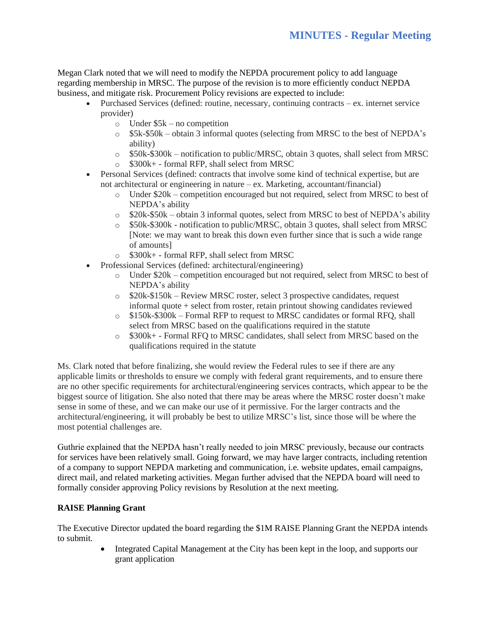Megan Clark noted that we will need to modify the NEPDA procurement policy to add language regarding membership in MRSC. The purpose of the revision is to more efficiently conduct NEPDA business, and mitigate risk. Procurement Policy revisions are expected to include:

- Purchased Services (defined: routine, necessary, continuing contracts ex. internet service provider)
	- $\circ$  Under \$5k no competition
	- o \$5k-\$50k obtain 3 informal quotes (selecting from MRSC to the best of NEPDA's ability)
	- $\circ$  \$50k-\$300k notification to public/MRSC, obtain 3 quotes, shall select from MRSC
	- o \$300k+ formal RFP, shall select from MRSC
- Personal Services (defined: contracts that involve some kind of technical expertise, but are not architectural or engineering in nature – ex. Marketing, accountant/financial)
	- o Under \$20k competition encouraged but not required, select from MRSC to best of NEPDA's ability
	- $\circ$  \$20k-\$50k obtain 3 informal quotes, select from MRSC to best of NEPDA's ability
	- o \$50k-\$300k notification to public/MRSC, obtain 3 quotes, shall select from MRSC [Note: we may want to break this down even further since that is such a wide range of amounts]
	- o \$300k+ formal RFP, shall select from MRSC
- Professional Services (defined: architectural/engineering)
	- $\circ$  Under \$20k competition encouraged but not required, select from MRSC to best of NEPDA's ability
	- o \$20k-\$150k Review MRSC roster, select 3 prospective candidates, request informal quote + select from roster, retain printout showing candidates reviewed
	- o \$150k-\$300k Formal RFP to request to MRSC candidates or formal RFQ, shall select from MRSC based on the qualifications required in the statute
	- o \$300k+ Formal RFQ to MRSC candidates, shall select from MRSC based on the qualifications required in the statute

Ms. Clark noted that before finalizing, she would review the Federal rules to see if there are any applicable limits or thresholds to ensure we comply with federal grant requirements, and to ensure there are no other specific requirements for architectural/engineering services contracts, which appear to be the biggest source of litigation. She also noted that there may be areas where the MRSC roster doesn't make sense in some of these, and we can make our use of it permissive. For the larger contracts and the architectural/engineering, it will probably be best to utilize MRSC's list, since those will be where the most potential challenges are.

Guthrie explained that the NEPDA hasn't really needed to join MRSC previously, because our contracts for services have been relatively small. Going forward, we may have larger contracts, including retention of a company to support NEPDA marketing and communication, i.e. website updates, email campaigns, direct mail, and related marketing activities. Megan further advised that the NEPDA board will need to formally consider approving Policy revisions by Resolution at the next meeting.

# **RAISE Planning Grant**

The Executive Director updated the board regarding the \$1M RAISE Planning Grant the NEPDA intends to submit.

> • Integrated Capital Management at the City has been kept in the loop, and supports our grant application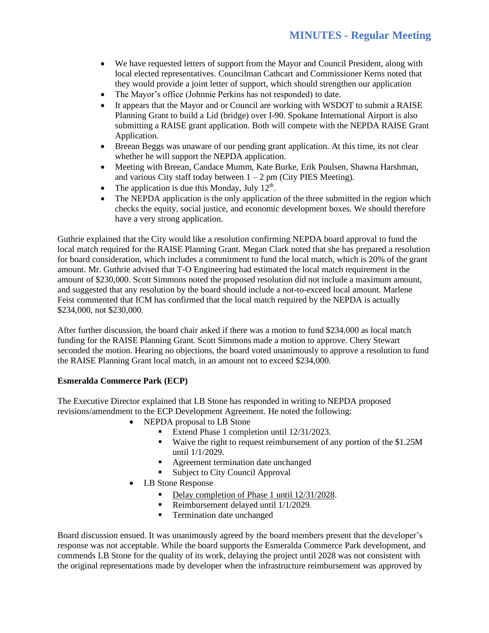- We have requested letters of support from the Mayor and Council President, along with local elected representatives. Councilman Cathcart and Commissioner Kerns noted that they would provide a joint letter of support, which should strengthen our application
- The Mayor's office (Johnnie Perkins has not responded) to date.
- It appears that the Mayor and or Council are working with WSDOT to submit a RAISE Planning Grant to build a Lid (bridge) over I-90. Spokane International Airport is also submitting a RAISE grant application. Both will compete with the NEPDA RAISE Grant Application.
- Breean Beggs was unaware of our pending grant application. At this time, its not clear whether he will support the NEPDA application.
- Meeting with Breean, Candace Mumm, Kate Burke, Erik Poulsen, Shawna Harshman, and various City staff today between  $1 - 2$  pm (City PIES Meeting).
- The application is due this Monday, July  $12<sup>th</sup>$ .
- The NEPDA application is the only application of the three submitted in the region which checks the equity, social justice, and economic development boxes. We should therefore have a very strong application.

Guthrie explained that the City would like a resolution confirming NEPDA board approval to fund the local match required for the RAISE Planning Grant. Megan Clark noted that she has prepared a resolution for board consideration, which includes a commitment to fund the local match, which is 20% of the grant amount. Mr. Guthrie advised that T-O Engineering had estimated the local match requirement in the amount of \$230,000. Scott Simmons noted the proposed resolution did not include a maximum amount, and suggested that any resolution by the board should include a not-to-exceed local amount. Marlene Feist commented that ICM has confirmed that the local match required by the NEPDA is actually \$234,000, not \$230,000.

After further discussion, the board chair asked if there was a motion to fund \$234,000 as local match funding for the RAISE Planning Grant. Scott Simmons made a motion to approve. Chery Stewart seconded the motion. Hearing no objections, the board voted unanimously to approve a resolution to fund the RAISE Planning Grant local match, in an amount not to exceed \$234,000.

# **Esmeralda Commerce Park (ECP)**

The Executive Director explained that LB Stone has responded in writing to NEPDA proposed revisions/amendment to the ECP Development Agreement. He noted the following:

- NEPDA proposal to LB Stone
	- Extend Phase 1 completion until 12/31/2023.
	- Waive the right to request reimbursement of any portion of the \$1.25M until 1/1/2029.
	- Agreement termination date unchanged
	- Subject to City Council Approval
- LB Stone Response
	- Delay completion of Phase 1 until 12/31/2028.
	- Reimbursement delayed until 1/1/2029.
	- **•** Termination date unchanged

Board discussion ensued. It was unanimously agreed by the board members present that the developer's response was not acceptable. While the board supports the Esmeralda Commerce Park development, and commends LB Stone for the quality of its work, delaying the project until 2028 was not consistent with the original representations made by developer when the infrastructure reimbursement was approved by